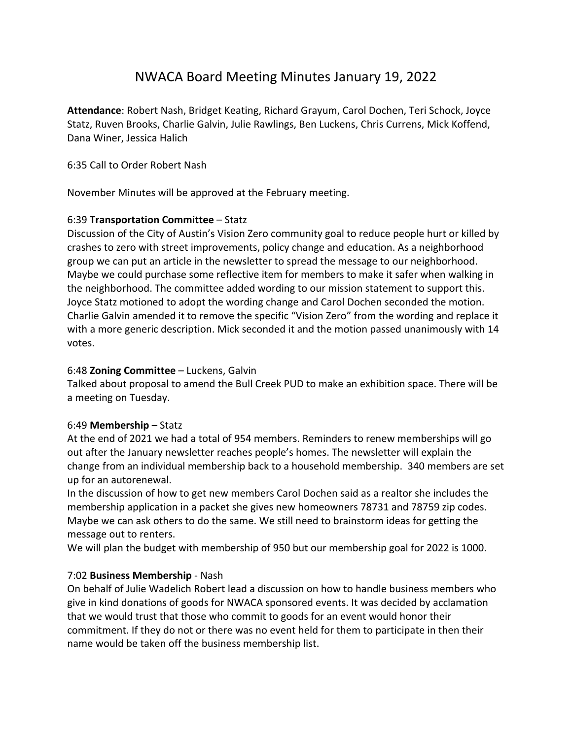# NWACA Board Meeting Minutes January 19, 2022

**Attendance**: Robert Nash, Bridget Keating, Richard Grayum, Carol Dochen, Teri Schock, Joyce Statz, Ruven Brooks, Charlie Galvin, Julie Rawlings, Ben Luckens, Chris Currens, Mick Koffend, Dana Winer, Jessica Halich

## 6:35 Call to Order Robert Nash

November Minutes will be approved at the February meeting.

# 6:39 **Transportation Committee** – Statz

Discussion of the City of Austin's Vision Zero community goal to reduce people hurt or killed by crashes to zero with street improvements, policy change and education. As a neighborhood group we can put an article in the newsletter to spread the message to our neighborhood. Maybe we could purchase some reflective item for members to make it safer when walking in the neighborhood. The committee added wording to our mission statement to support this. Joyce Statz motioned to adopt the wording change and Carol Dochen seconded the motion. Charlie Galvin amended it to remove the specific "Vision Zero" from the wording and replace it with a more generic description. Mick seconded it and the motion passed unanimously with 14 votes.

#### 6:48 **Zoning Committee** – Luckens, Galvin

Talked about proposal to amend the Bull Creek PUD to make an exhibition space. There will be a meeting on Tuesday.

#### 6:49 **Membership** – Statz

At the end of 2021 we had a total of 954 members. Reminders to renew memberships will go out after the January newsletter reaches people's homes. The newsletter will explain the change from an individual membership back to a household membership. 340 members are set up for an autorenewal.

In the discussion of how to get new members Carol Dochen said as a realtor she includes the membership application in a packet she gives new homeowners 78731 and 78759 zip codes. Maybe we can ask others to do the same. We still need to brainstorm ideas for getting the message out to renters.

We will plan the budget with membership of 950 but our membership goal for 2022 is 1000.

# 7:02 **Business Membership** ‐ Nash

On behalf of Julie Wadelich Robert lead a discussion on how to handle business members who give in kind donations of goods for NWACA sponsored events. It was decided by acclamation that we would trust that those who commit to goods for an event would honor their commitment. If they do not or there was no event held for them to participate in then their name would be taken off the business membership list.